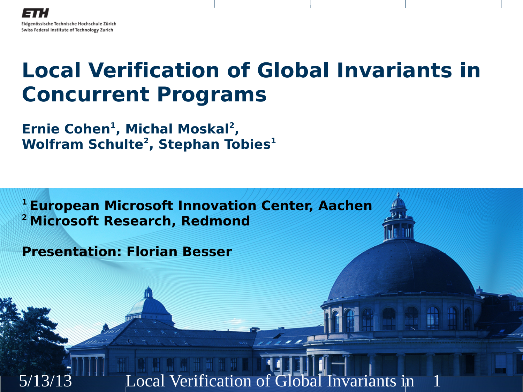#### **Local Verification of Global Invariants in Concurrent Programs**

**Ernie Cohen<sup>1</sup> , Michal Moskal<sup>2</sup> , Wolfram Schulte<sup>2</sup> , Stephan Tobies<sup>1</sup>**

**<sup>1</sup>European Microsoft Innovation Center, Aachen <sup>2</sup>Microsoft Research, Redmond**

**Presentation: Florian Besser**

Local Verification of Global Invariants in

1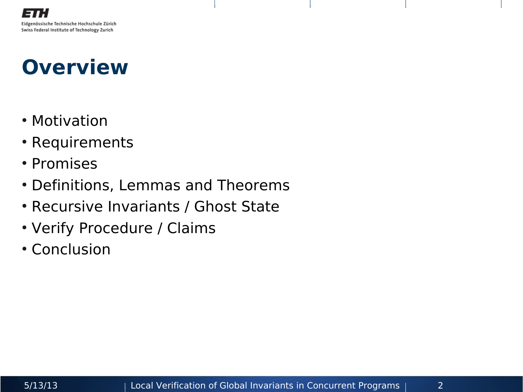#### **Overview**

- Motivation
- Requirements
- Promises
- Definitions, Lemmas and Theorems
- Recursive Invariants / Ghost State
- Verify Procedure / Claims
- Conclusion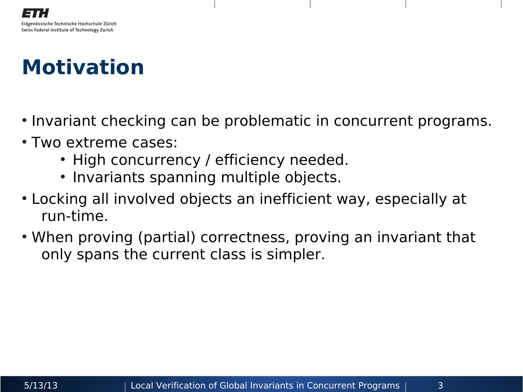## **Motivation**

- Invariant checking can be problematic in concurrent programs.
- Two extreme cases:
	- High concurrency / efficiency needed.
	- Invariants spanning multiple objects.
- Locking all involved objects an inefficient way, especially at run-time.
- When proving (partial) correctness, proving an invariant that only spans the current class is simpler.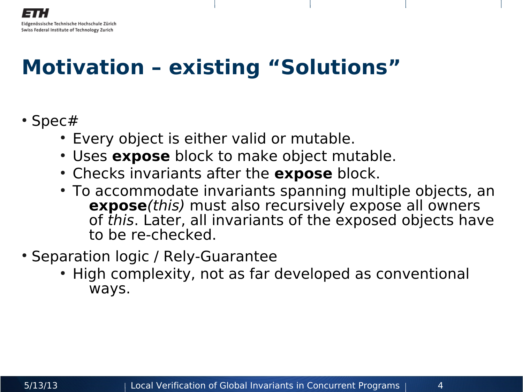#### Eidgenössische Technische Hochschule Zürich Swiss Federal Institute of Technology Zurich

### **Motivation – existing "Solutions"**

#### • Spec $#$

- Every object is either valid or mutable.
- Uses **expose** block to make object mutable.
- Checks invariants after the **expose** block.
- To accommodate invariants spanning multiple objects, an **expose**(this) must also recursively expose all owners of this. Later, all invariants of the exposed objects have to be re-checked.
- Separation logic / Rely-Guarantee
	- High complexity, not as far developed as conventional ways.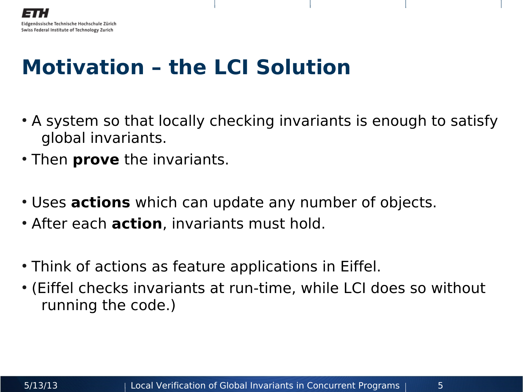#### **Motivation – the LCI Solution**

- A system so that locally checking invariants is enough to satisfy global invariants.
- Then **prove** the invariants.
- Uses **actions** which can update any number of objects.
- After each **action**, invariants must hold.
- Think of actions as feature applications in Eiffel.
- (Eiffel checks invariants at run-time, while LCI does so without running the code.)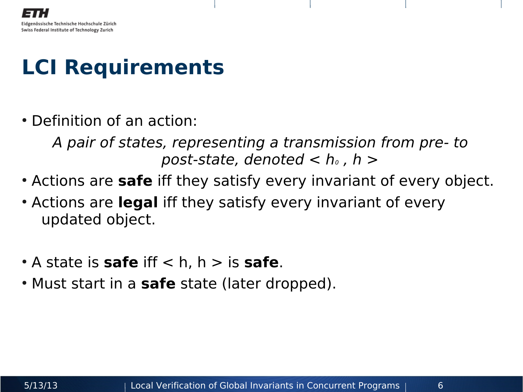#### **LCI Requirements**

• Definition of an action:

A pair of states, representing a transmission from pre- to post-state, denoted  $< h_0$ , h  $>$ 

- Actions are **safe** iff they satisfy every invariant of every object.
- Actions are **legal** iff they satisfy every invariant of every updated object.
- $\cdot$  A state is **safe** iff  $\lt$  h, h  $\gt$  is **safe**.
- Must start in a **safe** state (later dropped).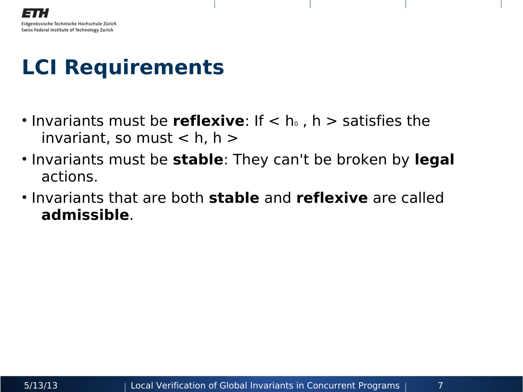#### **LCI Requirements**

- Invariants must be **reflexive**: If < h<sub>0</sub>, h > satisfies the invariant, so must  $<$  h, h  $>$
- Invariants must be **stable**: They can't be broken by **legal** actions.
- Invariants that are both **stable** and **reflexive** are called **admissible**.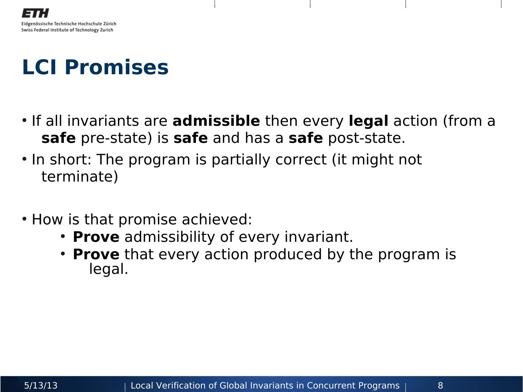## **LCI Promises**

- If all invariants are **admissible** then every **legal** action (from a **safe** pre-state) is **safe** and has a **safe** post-state.
- In short: The program is partially correct (it might not terminate)
- How is that promise achieved:
	- **Prove** admissibility of every invariant.
	- **Prove** that every action produced by the program is legal.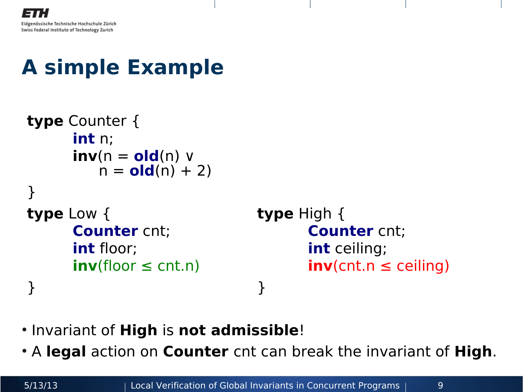## **A simple Example**

```
type Counter {
    int n;
    inv(n = old(n) ∨ 
      n = old(n) + 2}
type Low { type High {
    Counter cnt; Counter cnt;
    int floor; int ceiling;
    inv(floor ≤ cnt.n) inv(cnt.n ≤ ceiling)
} }
```
- Invariant of **High** is **not admissible**!
- A **legal** action on **Counter** cnt can break the invariant of **High**.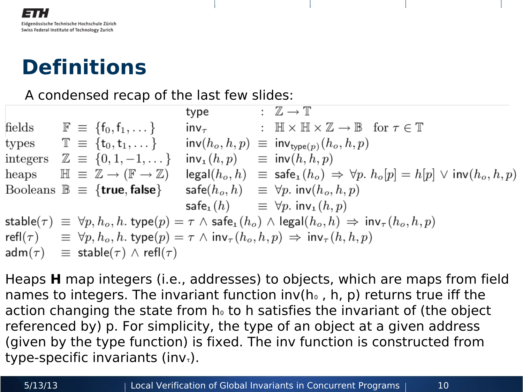#### **Definitions**

#### A condensed recap of the last few slides:

 $\colon \mathbb{Z} \to \mathbb{T}$ type fields  $\mathbb{F} \equiv \{f_0, f_1, \dots\}$  inv<sub> $\tau$ </sub> :  $\mathbb{H} \times \mathbb{H} \times \mathbb{Z} \to \mathbb{B}$  for  $\tau \in \mathbb{T}$ types  $\mathbb{T} = \{t_0, t_1, \dots\}$  inv $(h_o, h, p) \equiv inv_{\text{type}(p)}(h_o, h, p)$ integers  $\mathbb{Z} \equiv \{0, 1, -1, \dots\}$  inv<sub>1</sub> $(h, p) \equiv \text{inv}(h, h, p)$ heaps  $\mathbb{H} \equiv \mathbb{Z} \to (\mathbb{F} \to \mathbb{Z})$  legal $(h_o, h) \equiv$  safe<sub>1</sub> $(h_o) \Rightarrow \forall p. h_o[p] = h[p] \lor \mathsf{inv}(h_o, h, p)$ Booleans  $\mathbb{B} \equiv \{$ **true, false** $\}$  safe $(h_o, h) \equiv \forall p$ . inv $(h_o, h, p)$  $\mathsf{safe}_1(h) \equiv \forall p. \mathsf{inv}_1(h, p)$ stable( $\tau$ )  $\equiv \forall p, h_o, h$ . type( $p$ )  $= \tau \wedge$  safe<sub>1</sub>( $h_o$ )  $\wedge$  legal( $h_o, h$ )  $\Rightarrow$  inv<sub> $\tau$ </sub>( $h_o, h, p$ ) refl( $\tau$ )  $\equiv \forall p, h_o, h$ . type( $p$ ) =  $\tau \wedge \text{inv}_{\tau}(h_o, h, p) \Rightarrow \text{inv}_{\tau}(h, h, p)$  $adm(\tau) \equiv stable(\tau) \wedge refl(\tau)$ 

Heaps **H** map integers (i.e., addresses) to objects, which are maps from field names to integers. The invariant function  $inv(h_0, h, p)$  returns true iff the action changing the state from  $h_0$  to h satisfies the invariant of (the object referenced by) p. For simplicity, the type of an object at a given address (given by the type function) is fixed. The inv function is constructed from type-specific invariants (inv<sub> $<sub>τ</sub>$ ).</sub></sub>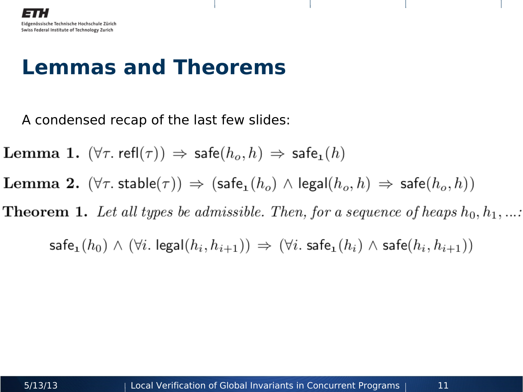#### **Lemmas and Theorems**

A condensed recap of the last few slides:

**Lemma 1.**  $(\forall \tau \cdot \text{refl}(\tau)) \Rightarrow \text{safe}(h_o, h) \Rightarrow \text{safe}_1(h)$ 

**Lemma 2.**  $(\forall \tau$  stable $(\tau)$   $\Rightarrow$   $(\text{safe}_1(h_o) \land \text{legal}(h_o, h) \Rightarrow$  safe $(h_o, h)$ 

**Theorem 1.** Let all types be admissible. Then, for a sequence of heaps  $h_0, h_1, ...$ 

 $\mathsf{safe}_1(h_0) \wedge (\forall i. \ \mathsf{legal}(h_i, h_{i+1})) \Rightarrow (\forall i. \ \mathsf{safe}_1(h_i) \wedge \mathsf{safe}(h_i, h_{i+1}))$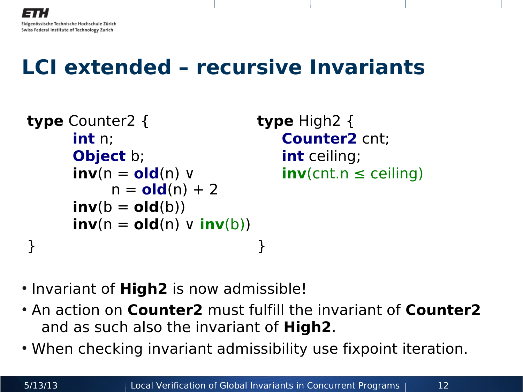#### **LCI extended – recursive Invariants**

```
type Counter2 { type High2 {
    int n; Counter2 cnt;
    Object b; int ceiling;
    inv(n = old(n) v inv(cnt.n ≤ ceiling)
       n = old(n) + 2inv(b = old(b))inv(n = old(n) \mathsf{v} inv(b))
} }
```
- Invariant of **High2** is now admissible!
- An action on **Counter2** must fulfill the invariant of **Counter2** and as such also the invariant of **High2**.
- When checking invariant admissibility use fixpoint iteration.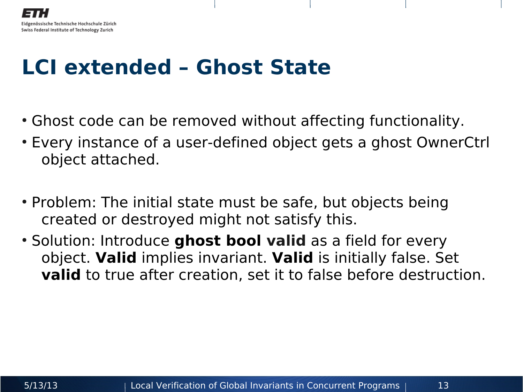#### **LCI extended – Ghost State**

- Ghost code can be removed without affecting functionality.
- Every instance of a user-defined object gets a ghost OwnerCtrl object attached.
- Problem: The initial state must be safe, but objects being created or destroyed might not satisfy this.
- Solution: Introduce ghost bool valid as a field for every object. **Valid** implies invariant. **Valid** is initially false. Set **valid** to true after creation, set it to false before destruction.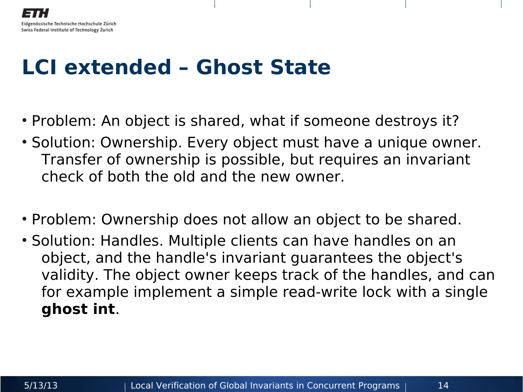#### Eidgenössische Technische Hochschule Zürich Swiss Federal Institute of Technology Zurich

#### **LCI extended – Ghost State**

- Problem: An object is shared, what if someone destroys it?
- Solution: Ownership. Every object must have a unique owner. Transfer of ownership is possible, but requires an invariant check of both the old and the new owner.
- Problem: Ownership does not allow an object to be shared.
- Solution: Handles. Multiple clients can have handles on an object, and the handle's invariant guarantees the object's validity. The object owner keeps track of the handles, and can for example implement a simple read-write lock with a single **ghost int**.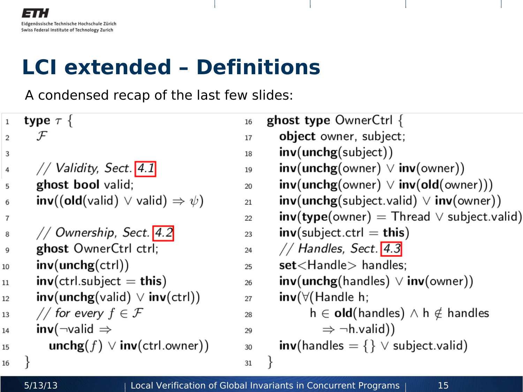#### **LCI extended – Definitions**

A condensed recap of the last few slides:

| $1\,$          | type $\tau \{$                                                      | 16 | <b>ghost type</b> OwnerCtrl {                            |
|----------------|---------------------------------------------------------------------|----|----------------------------------------------------------|
| 2              | ${\cal F}$                                                          | 17 | object owner, subject;                                   |
| 3              |                                                                     | 18 | inv(unchg(subject))                                      |
| 4              | // Validity, Sect. $4.1$                                            | 19 | $inv($ unchg $($ owner $)$ $\vee$ inv $($ owner $))$     |
| 5              | ghost bool valid;                                                   | 20 | $inv($ unchg $($ owner $) \vee inv($ old $($ owner $)))$ |
| 6              | $inv((old(valid) \vee valid) \Rightarrow \psi)$                     | 21 | $inv($ unchg $(s$ ubject.valid $) \vee inv($ owner $))$  |
| $\overline{7}$ |                                                                     | 22 | $inv(type(owner) = Thread \vee subject.valid)$           |
| 8              | // Ownership, Sect. 4.2                                             | 23 | $inv(subject. ctrl = this)$                              |
| 9              | ghost OwnerCtrl ctrl;                                               | 24 | // Handles, Sect. $4.3$                                  |
| 10             | inv(unchg(ctr))                                                     | 25 | $set$ $\lt$ Handle $>$ handles;                          |
| 11             | $inv(\text{ctrl}.\text{subject} = \text{this})$                     | 26 | $inv(unchg(handles) \vee inv(owner))$                    |
| 12             | $inv(unchg(valid) \vee inv(ctr))$                                   | 27 | $inv(\forall$ (Handle h;                                 |
| 13             | // for every $f \in \mathcal{F}$                                    | 28 | $h \in old(handles) \wedge h \notin handles$             |
| 14             | $inv(\neg$ valid $\Rightarrow$                                      | 29 | $\Rightarrow \neg h.\mathsf{valid}$ )                    |
| 15             | $\mathsf{unchg}(f) \lor \mathsf{inv}(\mathsf{ctrl}.\mathsf{owner})$ | 30 | $inv$ (handles = {} $\vee$ subject. valid)               |
| 16             |                                                                     | 31 |                                                          |
|                |                                                                     |    |                                                          |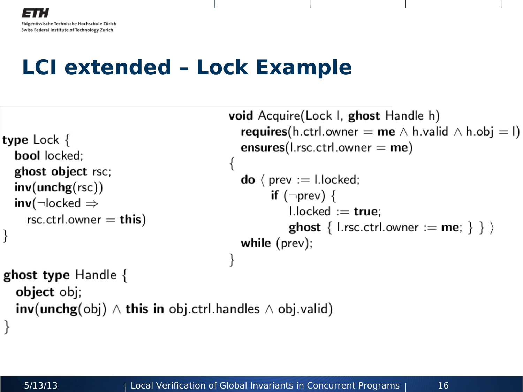#### **LCI extended – Lock Example**

```
type Lock \{bool locked:
  ghost object rsc;
  inv(unchg(rsc))inv(\neg locked \Rightarrowrsc.ctrl.owner = this)
ghost type Handle \{object obj;
  inv(unchg(obj) \wedge this in obj. ctrl.handles \wedge obj. valid)\}
```

```
void Acquire(Lock I, ghost Handle h)
  requires(h.ctrl.owner = me \wedge h.valid \wedge h.obj = l)
  ensures(l.rsc.ctrl.owner = me)
  \mathbf{do} ( prev := l.locked;
        if (\negprev) {
            l.\nvertlocked := true:
            ghost { l.rsc.ctrl.owner := me; } } \ranglewhile (\text{prev});
```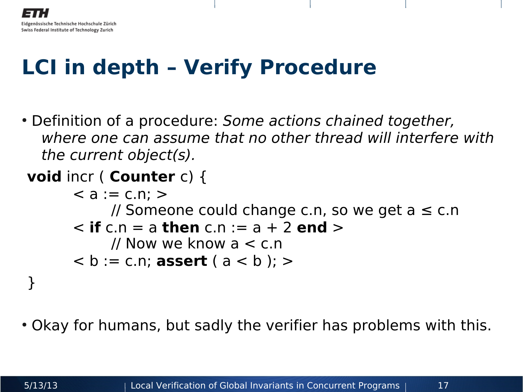## **LCI in depth – Verify Procedure**

- Definition of a procedure: Some actions chained together, where one can assume that no other thread will interfere with the current object(s).
- **void** incr ( **Counter** c) {

```
< a := c.n; >// Someone could change c.n, so we get a \leq c.n< if c.n = a then c.n := a + 2 end >
   // Now we know a < c.n
```
• Okay for humans, but sadly the verifier has problems with this.

}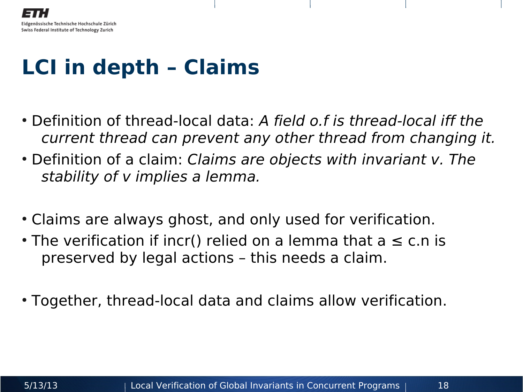#### **LCI in depth – Claims**

- Definition of thread-local data: A field o.f is thread-local iff the current thread can prevent any other thread from changing it.
- Definition of a claim: Claims are objects with invariant v. The stability of v implies a lemma.
- Claims are always ghost, and only used for verification.
- The verification if incr() relied on a lemma that  $a \leq c.n$  is preserved by legal actions – this needs a claim.
- Together, thread-local data and claims allow verification.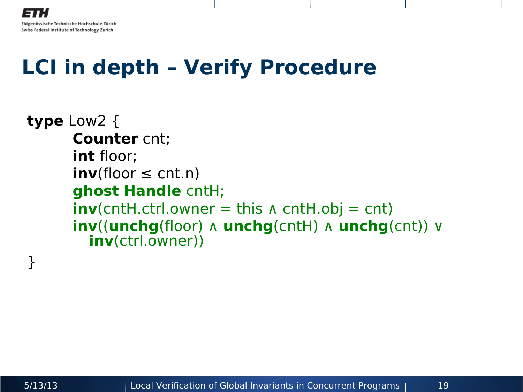### **LCI in depth – Verify Procedure**

```
type Low2 {
      Counter cnt;
      int floor;
      inv(floor \leq cnt.n)
      ghost Handle cntH;
      inv(cntH.ctrl.owner = this \Lambda cntH.obj = cnt)
      inv((unchg(floor) ∧ unchg(cntH) ∧ unchg(cnt)) ∨ 
        inv(ctrl.owner))
```
}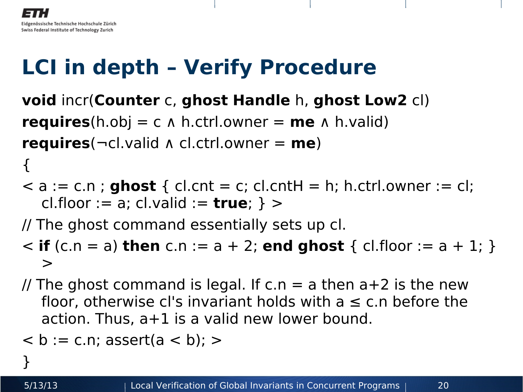# **LCI in depth – Verify Procedure**

**void** incr(**Counter** c, **ghost Handle** h, **ghost Low2** cl) **requires**(h.obj = c  $\Lambda$  h.ctrl.owner = **me**  $\Lambda$  h.valid) **requires**(¬cl.valid ∧ cl.ctrl.owner = **me**)

 $\le a := c.n$ ; **ghost** { cl.cnt = c; cl.cntH = h; h.ctrl.owner := cl; cl.floor := a; cl.valid := **true**; } >

// The ghost command essentially sets up cl.

- $\le$  **if** (c.n = a) **then** c.n := a + 2; **end ghost** { cl.floor := a + 1; }  $\geq$
- // The ghost command is legal. If  $c.n = a$  then  $a+2$  is the new floor, otherwise cl's invariant holds with  $a \leq c.n$  before the action. Thus, a+1 is a valid new lower bound.

```
\langle b := c.n; assert(a \langle b); \rangle
```
}

{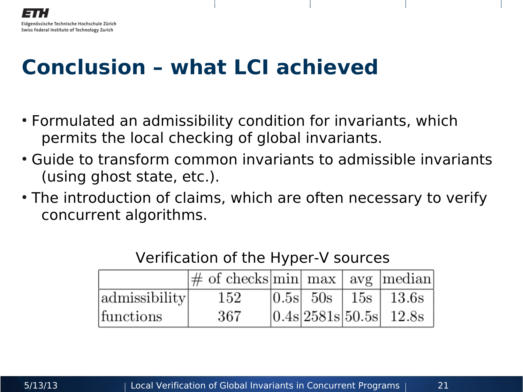## **Conclusion – what LCI achieved**

- Formulated an admissibility condition for invariants, which permits the local checking of global invariants.
- Guide to transform common invariants to admissible invariants (using ghost state, etc.).
- The introduction of claims, which are often necessary to verify concurrent algorithms.

|               | $\left \# \right $ of checks min $\max$ avg   median |  |                            |
|---------------|------------------------------------------------------|--|----------------------------|
| admissibility | 152                                                  |  | $ 0.5s $ 50s   15s   13.6s |
| functions     | 367                                                  |  | $ 0.4s 2581s 50.5s $ 12.8s |

#### Verification of the Hyper-V sources

Eidgenössische Technische Hochschule Zürich Swiss Federal Institute of Technology Zurich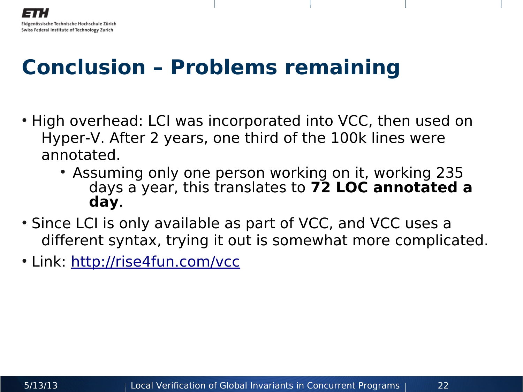#### Eidgenössische Technische Hochschule Zürich Swiss Federal Institute of Technology Zurich

#### **Conclusion – Problems remaining**

- High overhead: LCI was incorporated into VCC, then used on Hyper-V. After 2 years, one third of the 100k lines were annotated.
	- Assuming only one person working on it, working 235 days a year, this translates to **72 LOC annotated a day**.
- Since LCI is only available as part of VCC, and VCC uses a different syntax, trying it out is somewhat more complicated.
- Link: http://rise4fun.com/vcc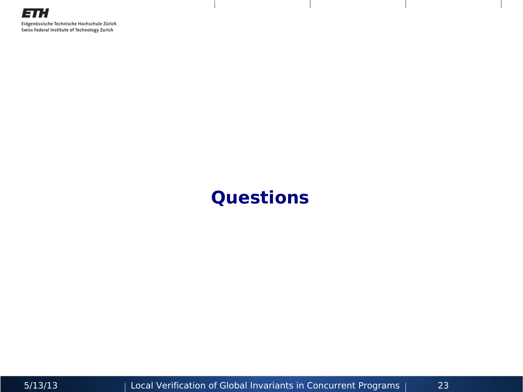#### **Questions**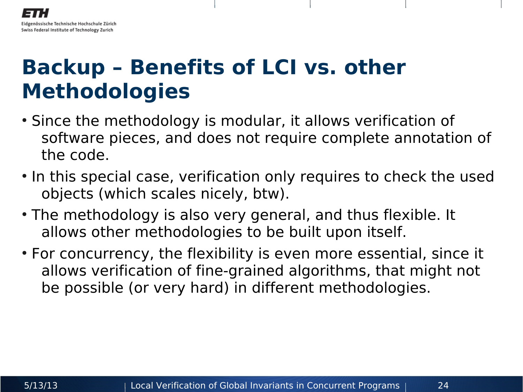#### **Backup – Benefits of LCI vs. other Methodologies**

- Since the methodology is modular, it allows verification of software pieces, and does not require complete annotation of the code.
- In this special case, verification only requires to check the used objects (which scales nicely, btw).
- The methodology is also very general, and thus flexible. It allows other methodologies to be built upon itself.
- For concurrency, the flexibility is even more essential, since it allows verification of fine-grained algorithms, that might not be possible (or very hard) in different methodologies.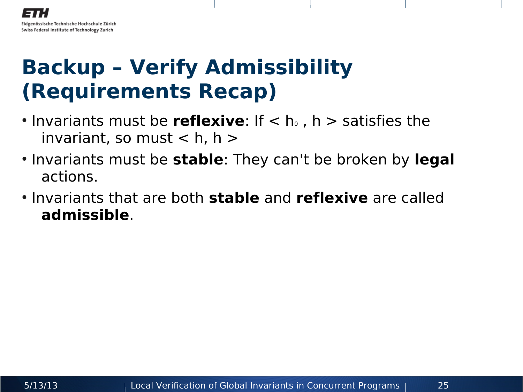### **Backup – Verify Admissibility (Requirements Recap)**

- Invariants must be **reflexive**: If < h<sub>0</sub>, h > satisfies the invariant, so must  $<$  h, h  $>$
- Invariants must be **stable**: They can't be broken by **legal** actions.
- Invariants that are both **stable** and **reflexive** are called **admissible**.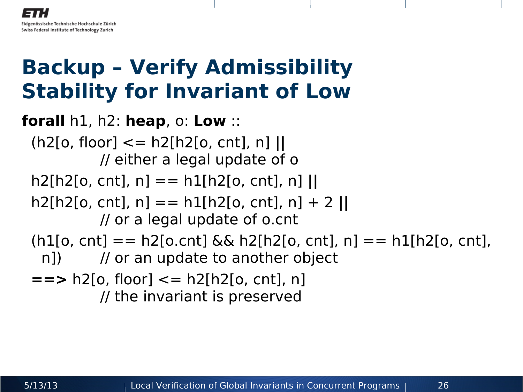### **Backup – Verify Admissibility Stability for Invariant of Low**

**forall** h1, h2: **heap**, o: **Low** :: (h2[o, floor] <= h2[h2[o, cnt], n] **||** // either a legal update of o h2[h2[o, cnt], n] == h1[h2[o, cnt], n] **||** h2[h2[o, cnt], n] == h1[h2[o, cnt], n] + 2 **||** // or a legal update of o.cnt  $(h1[o, cnt] == h2[o.cnt] & \& h2[h2[o, cnt], n] == h1[h2[o, cnt],$ n]) // or an update to another object **==>** h2[o, floor] <= h2[h2[o, cnt], n] // the invariant is preserved